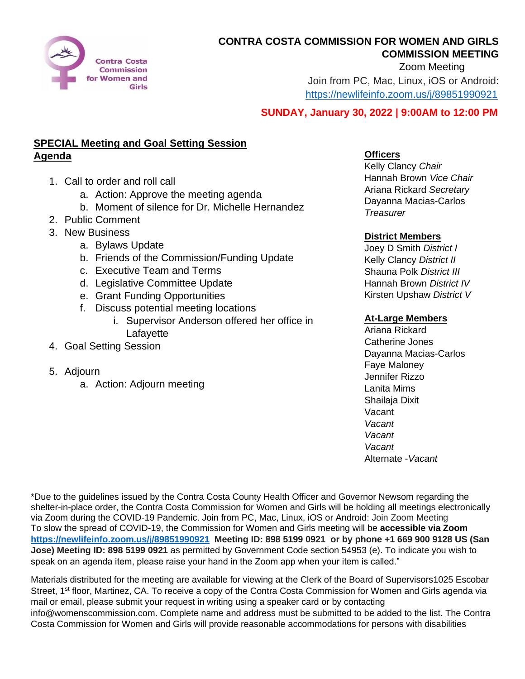

# **CONTRA COSTA COMMISSION FOR WOMEN AND GIRLS COMMISSION MEETING**

Zoom Meeting

Join from PC, Mac, Linux, iOS or Android: <https://newlifeinfo.zoom.us/j/89851990921>

#### **SUNDAY, January 30, 2022 | 9:00AM to 12:00 PM**

## **SPECIAL Meeting and Goal Setting Session Agenda**

- 1. Call to order and roll call
	- a. Action: Approve the meeting agenda
	- b. Moment of silence for Dr. Michelle Hernandez
- 2. Public Comment
- 3. New Business
	- a. Bylaws Update
	- b. Friends of the Commission/Funding Update
	- c. Executive Team and Terms
	- d. Legislative Committee Update
	- e. Grant Funding Opportunities
	- f. Discuss potential meeting locations
		- i. Supervisor Anderson offered her office in Lafayette
- 4. Goal Setting Session
- 5. Adjourn
	- a. Action: Adjourn meeting

### **Officers**

Kelly Clancy *Chair* Hannah Brown *Vice Chair*  Ariana Rickard *Secretary* Dayanna Macias-Carlos *Treasurer* 

#### **District Members**

Joey D Smith *District I* Kelly Clancy *District II* Shauna Polk *District III* Hannah Brown *District IV* Kirsten Upshaw *District V*

#### **At-Large Members**

Ariana Rickard Catherine Jones Dayanna Macias-Carlos Faye Maloney Jennifer Rizzo Lanita Mims Shailaja Dixit Vacant *Vacant Vacant Vacant* Alternate -*Vacant*

\*Due to the guidelines issued by the Contra Costa County Health Officer and Governor Newsom regarding the shelter-in-place order, the Contra Costa Commission for Women and Girls will be holding all meetings electronically via Zoom during the COVID-19 Pandemic. Join from PC, Mac, Linux, iOS or Android: Join Zoom Meeting To slow the spread of COVID-19, the Commission for Women and Girls meeting will be **accessible via Zoom <https://newlifeinfo.zoom.us/j/89851990921>Meeting ID: 898 5199 0921 or by phone +1 669 900 9128 US (San Jose) Meeting ID: 898 5199 0921** as permitted by Government Code section 54953 (e). To indicate you wish to speak on an agenda item, please raise your hand in the Zoom app when your item is called."

Materials distributed for the meeting are available for viewing at the Clerk of the Board of Supervisors1025 Escobar Street, 1<sup>st</sup> floor, Martinez, CA. To receive a copy of the Contra Costa Commission for Women and Girls agenda via mail or email, please submit your request in writing using a speaker card or by contacting info@womenscommission.com. Complete name and address must be submitted to be added to the list. The Contra Costa Commission for Women and Girls will provide reasonable accommodations for persons with disabilities